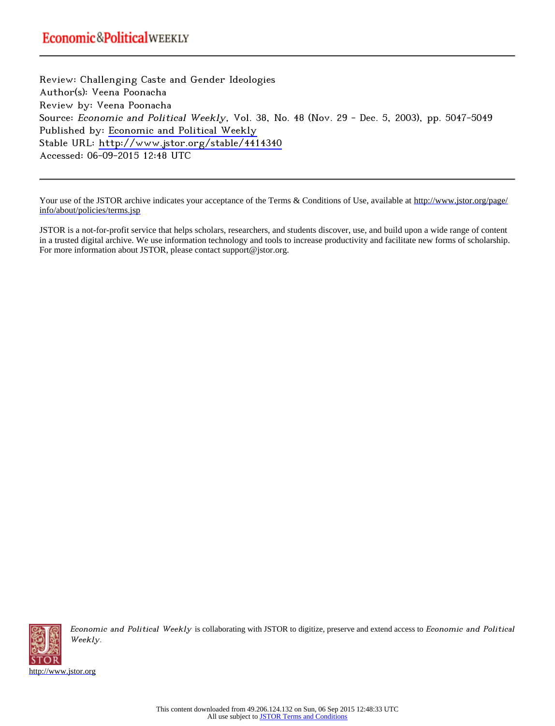Review: Challenging Caste and Gender Ideologies Author(s): Veena Poonacha Review by: Veena Poonacha Source: Economic and Political Weekly, Vol. 38, No. 48 (Nov. 29 - Dec. 5, 2003), pp. 5047-5049 Published by: [Economic and Political Weekly](http://www.jstor.org/action/showPublisher?publisherCode=epw) Stable URL: <http://www.jstor.org/stable/4414340> Accessed: 06-09-2015 12:48 UTC

Your use of the JSTOR archive indicates your acceptance of the Terms & Conditions of Use, available at [http://www.jstor.org/page/](http://www.jstor.org/page/info/about/policies/terms.jsp) [info/about/policies/terms.jsp](http://www.jstor.org/page/info/about/policies/terms.jsp)

JSTOR is a not-for-profit service that helps scholars, researchers, and students discover, use, and build upon a wide range of content in a trusted digital archive. We use information technology and tools to increase productivity and facilitate new forms of scholarship. For more information about JSTOR, please contact support@jstor.org.



Economic and Political Weekly is collaborating with JSTOR to digitize, preserve and extend access to Economic and Political Weekly.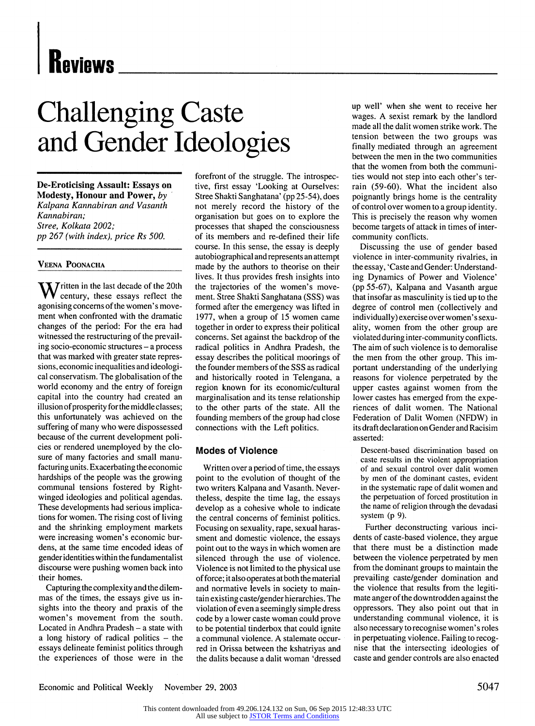# **Challenging Caste and Gender Ideologies**

**De-Eroticising Assault: Essays on Modesty, Honour and Power, by Kalpana Kannabiran and Vasanth Kannabiran; Stree, Kolkata 2002; pp 267 (with index), price Rs 500.** 

#### **VEENA POONACIIA**

**W** itten in the last decade of the 20th **century, these essays reflect the agonising concerns of the women's movement when confronted with the dramatic changes of the period: For the era had witnessed the restructuring of the prevailing socio-economic structures - a process that was marked with greater state repressions, economic inequalities and ideological conservatism. The globalisation of the world economy and the entry of foreign capital into the country had created an illusion of prosperity for the middle classes; this unfortunately was achieved on the suffering of many who were dispossessed because of the current development policies or rendered unemployed by the closure of many factories and small manufacturing units. Exacerbating the economic hardships of the people was the growing communal tensions fostered by Rightwinged ideologies and political agendas. These developments had serious implications for women. The rising cost of living and the shrinking employment markets were increasing women's economic burdens, at the same time encoded ideas of gender identities within the fundamentalist discourse were pushing women back into their homes.** 

**Capturing the complexity and the dilemmas of the times, the essays give us insights into the theory and praxis of the women's movement from the south.**  Located in Andhra Pradesh - a state with **a long history of radical politics - the essays delineate feminist politics through the experiences of those were in the**  **forefront of the struggle. The introspective, first essay 'Looking at Ourselves: Stree Shakti Sanghatana' (pp 25-54), does not merely record the history of the organisation but goes on to explore the processes that shaped the consciousness of its members and re-defined their life course. In this sense, the essay is deeply autobiographical and represents an attempt made by the authors to theorise on their lives. It thus provides fresh insights into the trajectories of the women's movement. Stree Shakti Sanghatana (SSS) was formed after the emergency was lifted in 1977, when a group of 15 women came together in order to express their political concerns. Set against the backdrop of the radical politics in Andhra Pradesh, the essay describes the political moorings of the founder members of the SSS as radical and historically rooted in Telengana, a region known for its economic/cultural marginalisation and its tense relationship to the other parts of the state. All the founding members of the group had close connections with the Left politics.** 

#### **Modes of Violence**

**Written over a period of time, the essays point to the evolution of thought of the two writers Kalpana and Vasanth. Nevertheless, despite the time lag, the essays develop as a cohesive whole to indicate the central concerns of feminist politics. Focusing on sexuality, rape, sexual harassment and domestic violence, the essays point out to the ways in which women are silenced through the use of violence. Violence is not limited to the physical use of force; it also operates at both the material and normative levels in society to maintain existing caste/gender hierarchies. The violation of even a seemingly simple dress code by a lower caste woman could prove to be potential tinderbox that could ignite a communal violence. A stalemate occurred in Orissa between the kshatriyas and the dalits because a dalit woman 'dressed** 

**up well' when she went to receive her wages. A sexist remark by the landlord made all the dalit women strike work. The tension between the two groups was finally mediated through an agreement between the men in the two communities that the women from both the communities would not step into each other's terrain (59-60). What the incident also poignantly brings home is the centrality of control over women to a group identity. This is precisely the reason why women become targets of attack in times of intercommunity conflicts.** 

**Discussing the use of gender based violence in inter-community rivalries, in the essay, 'Caste and Gender: Understanding Dynamics of Power and Violence' (pp 55-67), Kalpana and Vasanth argue that insofar as masculinity is tied up to the degree of control men (collectively and individually) exercise over women's sexuality, women from the other group are violated during inter-community conflicts. The aim of such violence is to demoralise the men from the other group. This important understanding of the underlying reasons for violence perpetrated by the upper castes against women from the lower castes has emerged from the experiences of dalit women. The National Federation of Dalit Women (NFDW) in its draft declaration on Gender and Racisim asserted:** 

**Descent-based discrimination based on caste results in the violent appropriation of and sexual control over dalit women by men of the dominant castes, evident in the systematic rape of dalit women and the perpetuation of forced prostitution in the name of religion through the devadasi system (p 9).** 

**Further deconstructing various incidents of caste-based violence, they argue that there must be a distinction made between the violence perpetrated by men from the dominant groups to maintain the prevailing caste/gender domination and the violence that results from the legitimate anger of the downtrodden against the oppressors. They also point out that in understanding communal violence, it is also necessary to recognise women's roles in perpetuating violence. Failing to recognise that the intersecting ideologies of caste and gender controls are also enacted** 

Economic and Political Weekly November 29, 2003 5047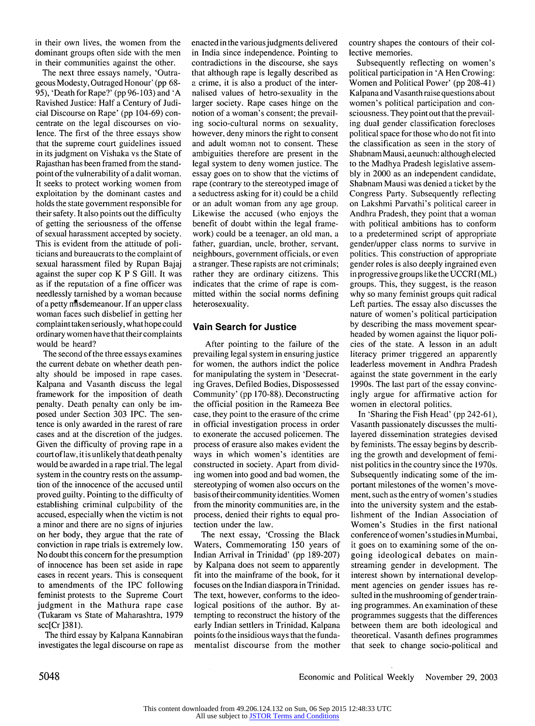**in their own lives, the women from the dominant groups often side with the men in their communities against the other.** 

**The next three essays namely, 'Outrageous Modesty, Outraged Honour' (pp 68- 95), 'Death for Rape?' (pp 96-103) and 'A Ravished Justice: Half a Century of Judicial Discourse on Rape' (pp 104-69) concentrate on the legal discourses on violence. The first of the three essays show that the supreme court guidelines issued in its judgment on Vishaka vs the State of Rajasthan has been framed from the standpoint of the vulnerability of a dalit woman. It seeks to protect working women from exploitation by the dominant castes and holds the state government responsible for their safety. It also points out the difficulty of getting the seriousness of the offense of sexual harassment accepted by society. This is evident from the attitude of politicians and bureaucrats to the complaint of sexual harassment filed by Rupan Bajaj against the super cop K P S Gill. It was as if the reputation of a fine officer was needlessly tarnished by a woman because of a petty ntsdemeanour. If an upper class woman faces such disbelief in getting her complaint taken seriously, what hope could ordinary women have that their complaints would be heard?** 

**The second of the three essays examines the current debate on whether death penalty should be imposed in rape cases. Kalpana and Vasanth discuss the legal framework for the imposition of death penalty. Death penalty can only be imposed under Section 303 IPC. The sentence is only awarded in the rarest of rare cases and at the discretion of the judges. Given the difficulty of proving rape in a court of law, it is unlikely that death penalty would be awarded in a rape trial. The legal system in the country rests on the assumption of the innocence of the accused until proved guilty. Pointing to the difficulty of establishing criminal culpability of the accused, especially when the victim is not a minor and there are no signs of injuries on her body, they argue that the rate of conviction in rape trials is extremely low. No doubt this concern for the presumption of innocence has been set aside in rape cases in recent years. This is consequent to amendments of the IPC following feminist protests to the Supreme Court judgment in the Mathura rape case (Tukaram vs State of Maharashtra, 1979 scc[Cr ]381).** 

**The third essay by Kalpana Kannabiran investigates the legal discourse on rape as**  **enacted in the variousjudgments delivered in India since independence. Pointing to contradictions in the discourse, she says that although rape is legally described as a crime, it is also a product of the internalised values of hetro-sexuality in the larger society. Rape cases hinge on the notion of a woman's consent; the prevailing socio-cultural norms on sexuality, however, deny minors the right to consent and adult woman not to consent. These ambiguities therefore are present in the legal system to deny women justice. The essay goes on to show that the victims of rape (contrary to the stereotyped image of a seductress asking for it) could be a child or an adult woman from any age group. Likewise the accused (who enjoys the benefit of doubt within the legal framework) could be a teenager, an old man, a father, guardian, uncle, brother, servant, neighbours, government officials, or even a stranger. These rapists are not criminals; rather they are ordinary citizens. This indicates that the crime of rape is committed within the social norms defining heterosexuality.** 

### **Vain Search for Justice**

**After pointing to the failure of the prevailing legal system in ensuring justice for women, the authors indict the police for manipulating the system in 'Desecrating Graves, Defiled Bodies, Dispossessed Community' (pp 170-88). Deconstructing the official position in the Rameeza Bee case, they point to the erasure of the crime in official investigation process in order to exonerate the accused policemen. The process of erasure also makes evident the ways in which women's identities are constructed in society. Apart from dividing women into good and bad women, the stereotyping of women also occurs on the basis of their community identities. Women from the minority communities are, in the process, denied their rights to equal protection under the law.** 

**The next essay, 'Crossing the Black Waters, Commemorating 150 years of Indian Arrival in Trinidad' (pp 189-207) by Kalpana does not seem to apparently fit into the mainframe of the book, for it focuses on the Indian diaspora in Trinidad. The text, however, conforms to the ideological positions of the author. By attempting to reconstruct the history of the early Indian settlers in Trinidad, Kalpana points to the insidious ways that the fundamentalist discourse from the mother**  **country shapes the contours of their collective memories.** 

**Subsequently reflecting on women's political participation in 'A Hen Crowing: Women and Political Power' (pp 208-41) Kalpana and Vasanth raise questions about women's political participation and consciousness. They point out that the prevailing dual gender classification forecloses political space for those who do not fit into the classification as seen in the story of Shabnam Mausi, aeunuch: although elected to the Madhya Pradesh legislative assembly in 2000 as an independent candidate, Shabnam Mausi was denied a ticket by the Congress Party. Subsequently reflecting on Lakshmi Parvathi's political career in Andhra Pradesh, they point that a woman with political ambitions has to conform to a predetermined script of appropriate gender/upper class norms to survive in politics. This construction of appropriate gender roles is also deeply ingrained even in progressive groups like the UCCRI (ML) groups. This, they suggest, is the reason why so many feminist groups quit radical Left parties. The essay also discusses the nature of women's political participation by describing the mass movement spearheaded by women against the liquor policies of the state. A lesson in an adult literacy primer triggered an apparently leaderless movement in Andhra Pradesh against the state government in the early 1990s. The last part of the essay convincingly argue for affirmative action for women in electoral politics.** 

**In 'Sharing the Fish Head' (pp 242-61), Vasanth passionately discusses the multilayered dissemination strategies devised by feminists. The essay begins by describing the growth and development of feminist politics in the country since the 1970s. Subsequently indicating some of the important milestones of the women's movement, such as the entry of women's studies into the university system and the establishment of the Indian Association of Women's Studies in the first national conference of women's studies in Mumbai, it goes on to examining some of the ongoing ideological debates on mainstreaming gender in development. The interest shown by international development agencies on gender issues has resulted in the mushrooming of gender training programmes. An examination of these**  programmes suggests that the differences **between them are both ideological and theoretical. Vasanth defines programmes that seek to change socio-political and** 

**5048 Economic and Political Weekly November 29, 2003**